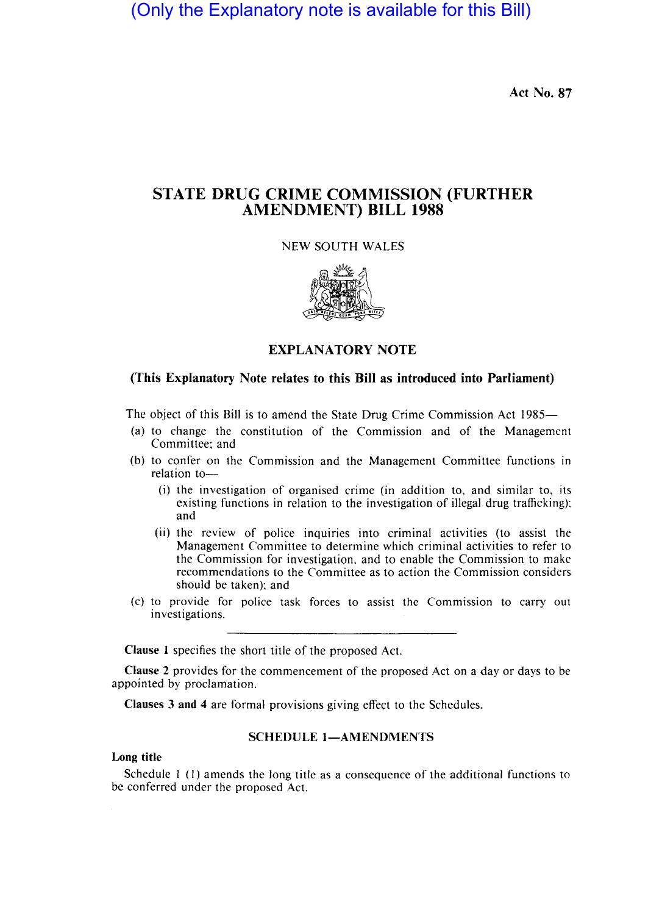(Only the Explanatory note is available for this Bill)

Act No. 87

# STATE DRUG CRIME COMMISSION (FURTHER AMENDMENT) BILL 1988

NEW SOUTH WALES



## EXPLANATORY NOTE

## (This Explanatory Note relates to this Bill as introduced into Parliament)

The object of this Bill is to amend the State Drug Crime Commission Act 1985—

- (a) to change the constitution of the Commission and of the Management Committee; and
- (b) to confer on the Commission and the Management Committee functions in relation to-
	- (i) the investigation of organised crime (in addition to, and similar to, its existing functions in relation to the investigation of illegal drug trafficking); and
	- (ii) the review of police inquiries into criminal activities (to assist the Management Committee to determine which criminal activities to refer to the Commission for investigation, and to enable the Commission to make recommendations to the Committee as to action the Commission considers should be taken); and
- (c) to provide for police task forces to assist the Commission to carry out investigations.

Clause I specifies the short title of the proposed Act.

Clause 2 provides for the commencement of the proposed Act on a day or days to be appointed by proclamation.

Clauses 3 and 4 are formal provisions giving effect to the Schedules.

#### SCHEDULE 1-AMENDMENTS

#### Long title

Schedule I (I) amends the long title as a consequence of the additional functions to be conferred under the proposed Act.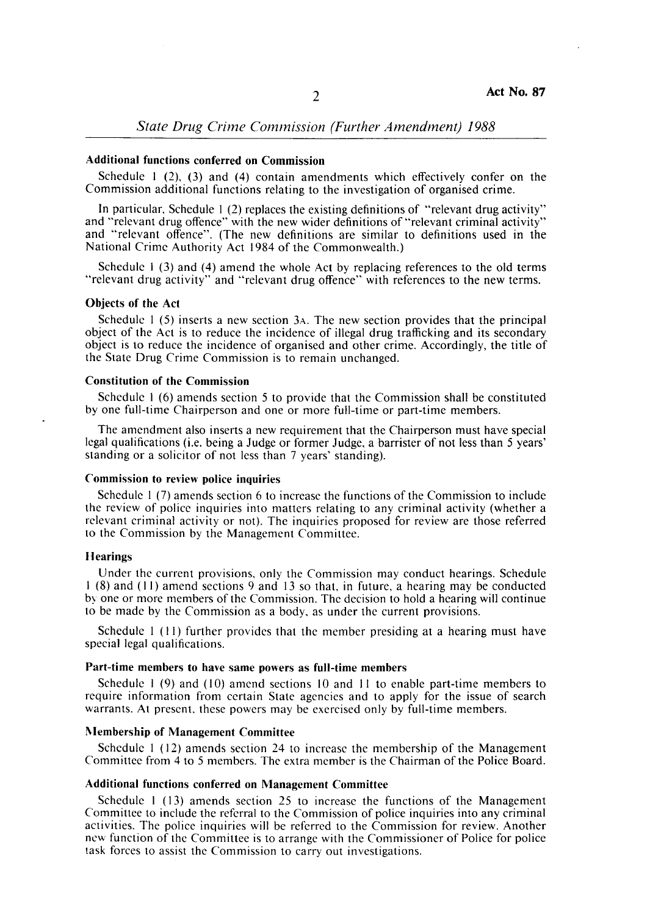*State Drug Crime Commission (Further Amendment) 1988* 

## Additional functions conferred on Commission

Schedule 1  $(2)$ ,  $(3)$  and  $(4)$  contain amendments which effectively confer on the Commission additional functions relating to the investigation of organised crime.

In particular, Schedule I (2) replaces the existing definitions of "relevant drug activity" and "relevant drug offence" with the new wider definitions of "relevant criminal activity" and "relevant offence". (The new definitions are similar to definitions used in the National Crime Authority Act 1984 of the Commonwealth.)

Schedule 1 (3) and (4) amend the whole Act by replacing references to the old terms "relevant drug activity" and "relevant drug offence" with references to the new terms.

## Ohjects of the Act

Schedule 1 (5) inserts a new section 3A. The new section provides that the principal object of the Act is to reduce the incidence of illegal drug trafficking and its secondary object is to reduce the incidence of organised and other crime. Accordingly, the title of the State Drug Crime Commission is to remain unchanged.

#### Constitution of the Commission

Schedule I (6) amends section 5 to provide that the Commission shall be constituted by one full-time Chairperson and one or more full-time or part-time members.

The amendment also inserts a new requirement that the Chairperson must have special legal qualifications (i.e. being a Judge or former Judge, a barrister of not less than 5 years' standing or a solicitor of not less than 7 years' standing).

#### Commission to review police inquiries

Schedule I (7) amends section 6 to increase the functions of the Commission to include the review of police inquiries into matters relating to any criminal activity (whether a relevant criminal activity or not). The inquiries proposed for review are those referred to the Commission by the Management Committee.

#### Hearings

Under the current provisions, only the Commission may conduct hearings. Schedule I (8) and (11) amend sections 9 and 13 so that, in future, a hearing may be conducted by one or more members of the Commission. The decision to hold a hearing will continue to be made by the Commission as a body, as under the current provisions.

Schedule I (11) further provides that the member presiding at a hearing must have special legal qualifications.

## Part-time memhers to have same powers as full-time memhers

Schedule I (9) and (10) amend sections 10 and 11 to enable part-time members to require information from certain State agencies and to apply for the issue of search warrants. At present, these powers may be exercised only by full-time members.

## Membership of Management Committee

Schedule I (12) amends section 24 to increase the membership of the Management Committee from 4 to 5 members. The extra member is the Chairman of the Police Board.

#### Additional functions conferred on Management Committee

Schedule I (13) amends section 25 to increase the functions of the Management Committee to include the referral to the Commission of police inquiries into any criminal activities. The police inquiries will be referred to the Commission for review. Another new function of the Committee is to arrange with the Commissioner of Police for police task forces to assist the Commission to carry out investigations.